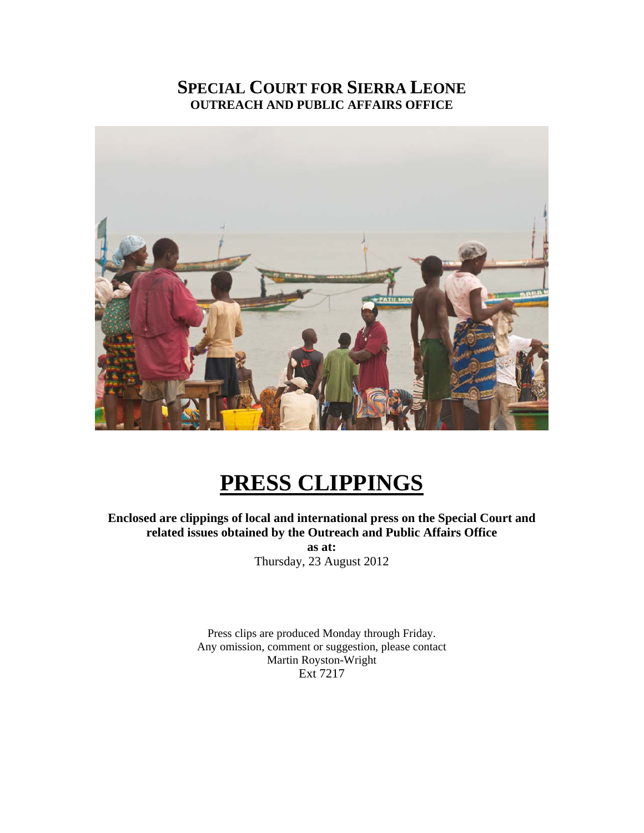### **SPECIAL COURT FOR SIERRA LEONE OUTREACH AND PUBLIC AFFAIRS OFFICE**



## **PRESS CLIPPINGS**

#### **Enclosed are clippings of local and international press on the Special Court and related issues obtained by the Outreach and Public Affairs Office**

**as at:**  Thursday, 23 August 2012

Press clips are produced Monday through Friday. Any omission, comment or suggestion, please contact Martin Royston-Wright Ext 7217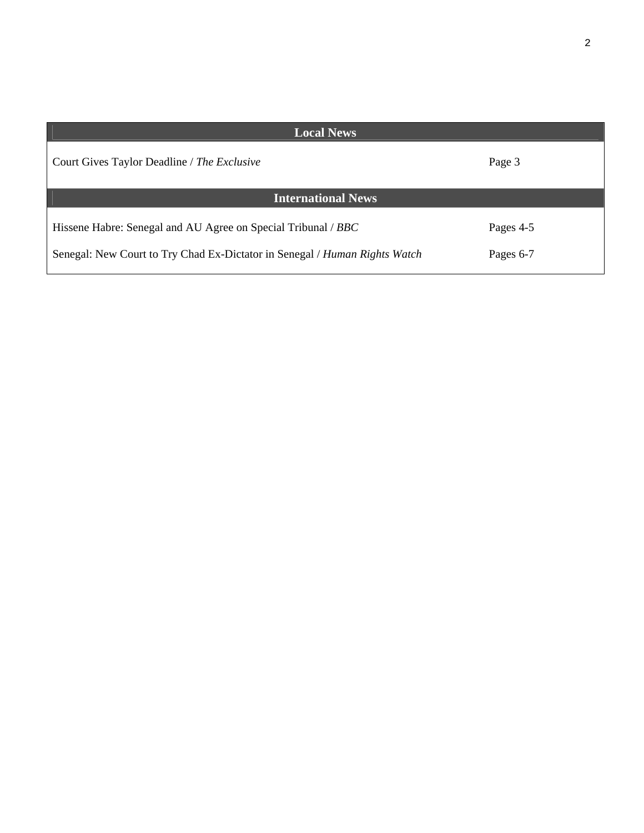| <b>Local News</b>                                                                                                                           |                        |
|---------------------------------------------------------------------------------------------------------------------------------------------|------------------------|
| Court Gives Taylor Deadline / The Exclusive                                                                                                 | Page 3                 |
| <b>International News</b>                                                                                                                   |                        |
| Hissene Habre: Senegal and AU Agree on Special Tribunal / BBC<br>Senegal: New Court to Try Chad Ex-Dictator in Senegal / Human Rights Watch | Pages 4-5<br>Pages 6-7 |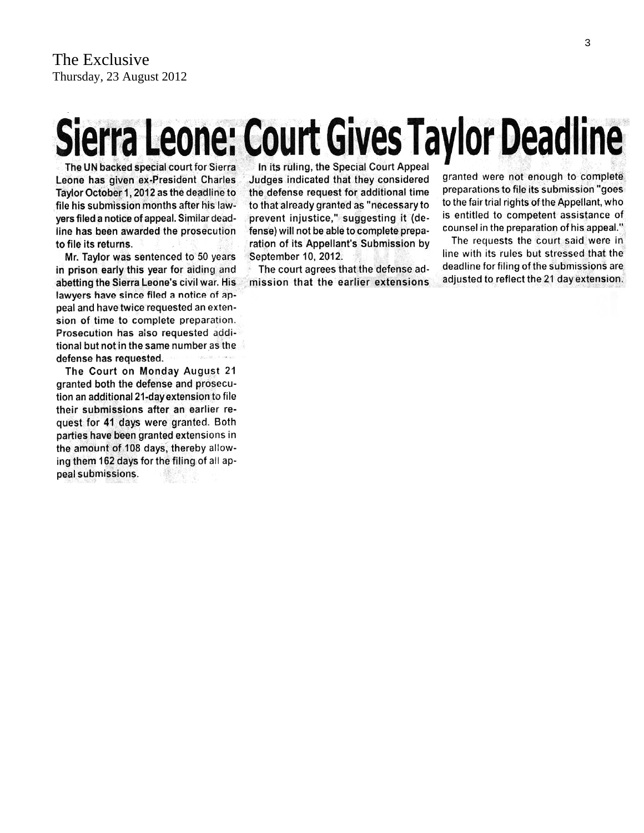# Sierra Leone: Court Gives Taylor Deadline

The UN backed special court for Sierra Leone has given ex-President Charles Taylor October 1, 2012 as the deadline to file his submission months after his lawyers filed a notice of appeal. Similar deadline has been awarded the prosecution to file its returns.

Mr. Taylor was sentenced to 50 years in prison early this year for aiding and abetting the Sierra Leone's civil war. His lawyers have since filed a notice of appeal and have twice requested an extension of time to complete preparation. Prosecution has also requested additional but not in the same number as the defense has requested.

The Court on Monday August 21 granted both the defense and prosecution an additional 21-day extension to file their submissions after an earlier request for 41 days were granted. Both parties have been granted extensions in the amount of 108 days, thereby allowing them 162 days for the filing of all appeal submissions.

In its ruling, the Special Court Appeal Judges indicated that they considered the defense request for additional time to that already granted as "necessary to prevent injustice," suggesting it (defense) will not be able to complete preparation of its Appellant's Submission by September 10, 2012.

The court agrees that the defense admission that the earlier extensions granted were not enough to complete preparations to file its submission "goes to the fair trial rights of the Appellant, who is entitled to competent assistance of counsel in the preparation of his appeal."

The requests the court said were in line with its rules but stressed that the deadline for filing of the submissions are adjusted to reflect the 21 day extension.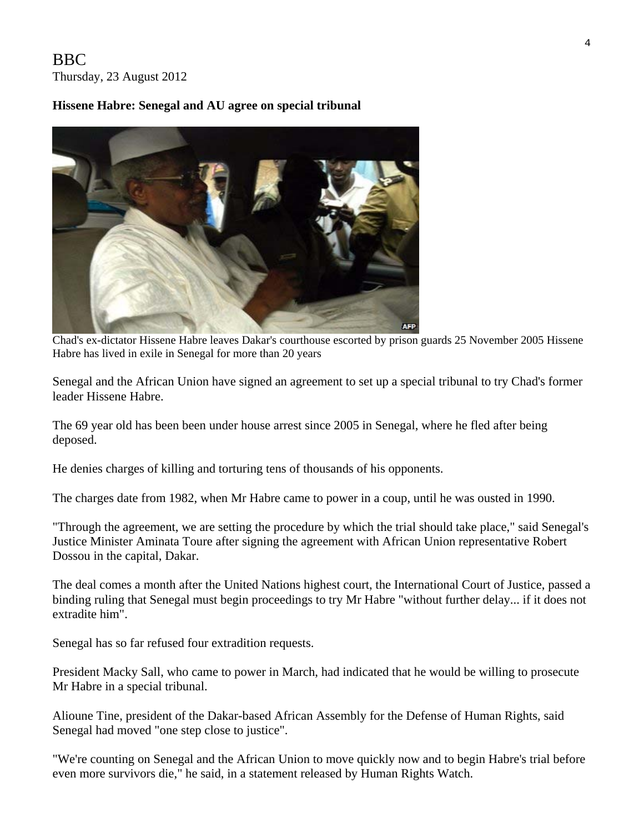#### BBC Thursday, 23 August 2012

#### **Hissene Habre: Senegal and AU agree on special tribunal**



 Chad's ex-dictator Hissene Habre leaves Dakar's courthouse escorted by prison guards 25 November 2005 Hissene Habre has lived in exile in Senegal for more than 20 years

Senegal and the African Union have signed an agreement to set up a special tribunal to try Chad's former leader Hissene Habre.

The 69 year old has been been under house arrest since 2005 in Senegal, where he fled after being deposed.

He denies charges of killing and torturing tens of thousands of his opponents.

The charges date from 1982, when Mr Habre came to power in a coup, until he was ousted in 1990.

"Through the agreement, we are setting the procedure by which the trial should take place," said Senegal's Justice Minister Aminata Toure after signing the agreement with African Union representative Robert Dossou in the capital, Dakar.

The deal comes a month after the United Nations highest court, the International Court of Justice, passed a binding ruling that Senegal must begin proceedings to try Mr Habre "without further delay... if it does not extradite him".

Senegal has so far refused four extradition requests.

President Macky Sall, who came to power in March, had indicated that he would be willing to prosecute Mr Habre in a special tribunal.

Alioune Tine, president of the Dakar-based African Assembly for the Defense of Human Rights, said Senegal had moved "one step close to justice".

"We're counting on Senegal and the African Union to move quickly now and to begin Habre's trial before even more survivors die," he said, in a statement released by Human Rights Watch.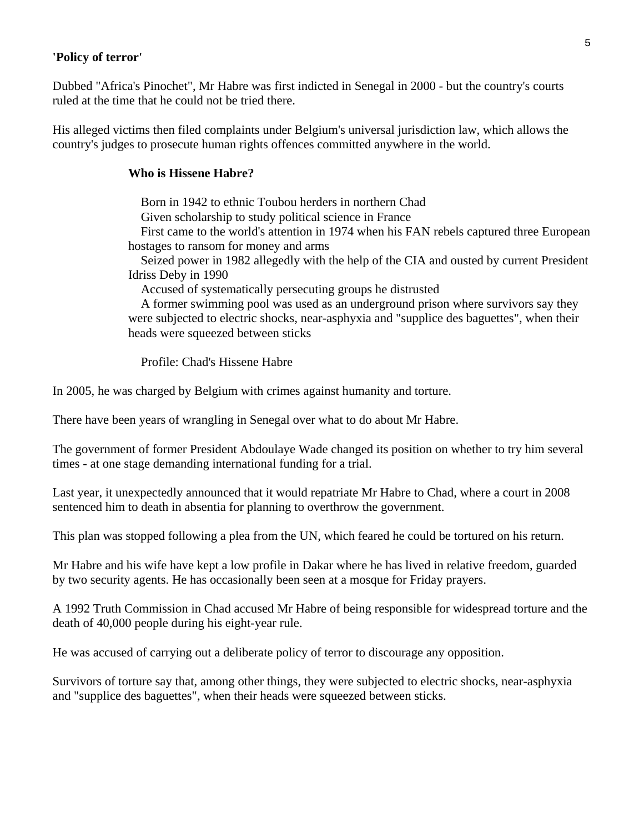#### **'Policy of terror'**

Dubbed "Africa's Pinochet", Mr Habre was first indicted in Senegal in 2000 - but the country's courts ruled at the time that he could not be tried there.

His alleged victims then filed complaints under Belgium's universal jurisdiction law, which allows the country's judges to prosecute human rights offences committed anywhere in the world.

#### **Who is Hissene Habre?**

Born in 1942 to ethnic Toubou herders in northern Chad

Given scholarship to study political science in France

 First came to the world's attention in 1974 when his FAN rebels captured three European hostages to ransom for money and arms

 Seized power in 1982 allegedly with the help of the CIA and ousted by current President Idriss Deby in 1990

Accused of systematically persecuting groups he distrusted

 A former swimming pool was used as an underground prison where survivors say they were subjected to electric shocks, near-asphyxia and "supplice des baguettes", when their heads were squeezed between sticks

Profile: Chad's Hissene Habre

In 2005, he was charged by Belgium with crimes against humanity and torture.

There have been years of wrangling in Senegal over what to do about Mr Habre.

The government of former President Abdoulaye Wade changed its position on whether to try him several times - at one stage demanding international funding for a trial.

Last year, it unexpectedly announced that it would repatriate Mr Habre to Chad, where a court in 2008 sentenced him to death in absentia for planning to overthrow the government.

This plan was stopped following a plea from the UN, which feared he could be tortured on his return.

Mr Habre and his wife have kept a low profile in Dakar where he has lived in relative freedom, guarded by two security agents. He has occasionally been seen at a mosque for Friday prayers.

A 1992 Truth Commission in Chad accused Mr Habre of being responsible for widespread torture and the death of 40,000 people during his eight-year rule.

He was accused of carrying out a deliberate policy of terror to discourage any opposition.

Survivors of torture say that, among other things, they were subjected to electric shocks, near-asphyxia and "supplice des baguettes", when their heads were squeezed between sticks.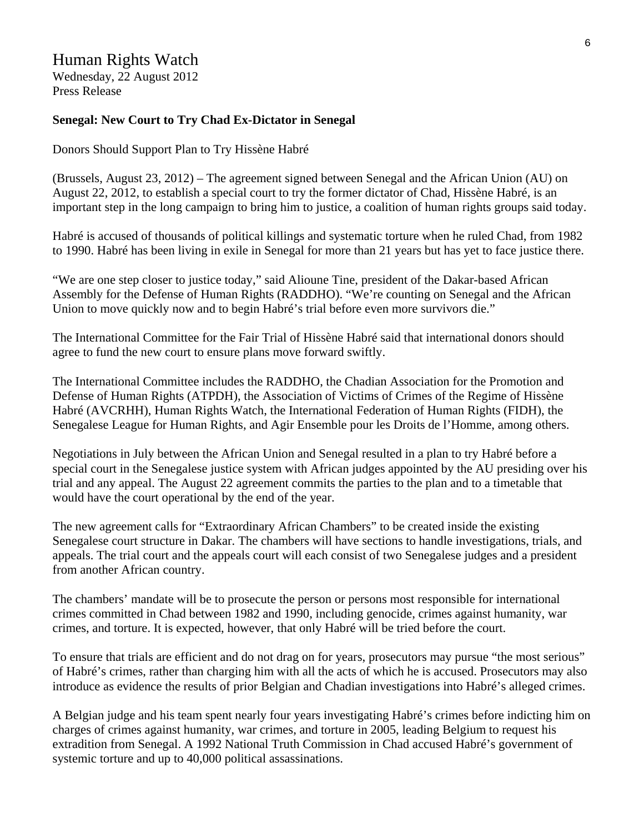#### Human Rights Watch

Wednesday, 22 August 2012 Press Release

#### **Senegal: New Court to Try Chad Ex-Dictator in Senegal**

Donors Should Support Plan to Try Hissène Habré

(Brussels, August 23, 2012) – The agreement signed between Senegal and the African Union (AU) on August 22, 2012, to establish a special court to try the former dictator of Chad, Hissène Habré, is an important step in the long campaign to bring him to justice, a coalition of human rights groups said today.

Habré is accused of thousands of political killings and systematic torture when he ruled Chad, from 1982 to 1990. Habré has been living in exile in Senegal for more than 21 years but has yet to face justice there.

"We are one step closer to justice today," said Alioune Tine, president of the Dakar-based African Assembly for the Defense of Human Rights (RADDHO). "We're counting on Senegal and the African Union to move quickly now and to begin Habré's trial before even more survivors die."

The International Committee for the Fair Trial of Hissène Habré said that international donors should agree to fund the new court to ensure plans move forward swiftly.

The International Committee includes the RADDHO, the Chadian Association for the Promotion and Defense of Human Rights (ATPDH), the Association of Victims of Crimes of the Regime of Hissène Habré (AVCRHH), Human Rights Watch, the International Federation of Human Rights (FIDH), the Senegalese League for Human Rights, and Agir Ensemble pour les Droits de l'Homme, among others.

Negotiations in July between the African Union and Senegal resulted in a plan to try Habré before a special court in the Senegalese justice system with African judges appointed by the AU presiding over his trial and any appeal. The August 22 agreement commits the parties to the plan and to a timetable that would have the court operational by the end of the year.

The new agreement calls for "Extraordinary African Chambers" to be created inside the existing Senegalese court structure in Dakar. The chambers will have sections to handle investigations, trials, and appeals. The trial court and the appeals court will each consist of two Senegalese judges and a president from another African country.

The chambers' mandate will be to prosecute the person or persons most responsible for international crimes committed in Chad between 1982 and 1990, including genocide, crimes against humanity, war crimes, and torture. It is expected, however, that only Habré will be tried before the court.

To ensure that trials are efficient and do not drag on for years, prosecutors may pursue "the most serious" of Habré's crimes, rather than charging him with all the acts of which he is accused. Prosecutors may also introduce as evidence the results of prior Belgian and Chadian investigations into Habré's alleged crimes.

A Belgian judge and his team spent nearly four years investigating Habré's crimes before indicting him on charges of crimes against humanity, war crimes, and torture in 2005, leading Belgium to request his extradition from Senegal. A 1992 National Truth Commission in Chad accused Habré's government of systemic torture and up to 40,000 political assassinations.